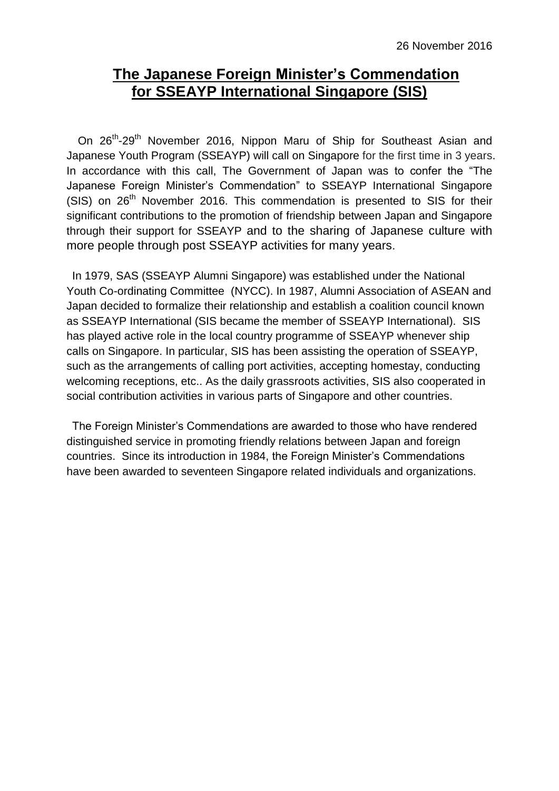## **The Japanese Foreign Minister's Commendation for SSEAYP International Singapore (SIS)**

On 26<sup>th</sup>-29<sup>th</sup> November 2016, Nippon Maru of Ship for Southeast Asian and Japanese Youth Program (SSEAYP) will call on Singapore for the first time in 3 years. In accordance with this call, The Government of Japan was to confer the "The Japanese Foreign Minister's Commendation" to SSEAYP International Singapore (SIS) on  $26<sup>th</sup>$  November 2016. This commendation is presented to SIS for their significant contributions to the promotion of friendship between Japan and Singapore through their support for SSEAYP and to the sharing of Japanese culture with more people through post SSEAYP activities for many years.

In 1979, SAS (SSEAYP Alumni Singapore) was established under the National Youth Co-ordinating Committee (NYCC). In 1987, Alumni Association of ASEAN and Japan decided to formalize their relationship and establish a coalition council known as SSEAYP International (SIS became the member of SSEAYP International). SIS has played active role in the local country programme of SSEAYP whenever ship calls on Singapore. In particular, SIS has been assisting the operation of SSEAYP, such as the arrangements of calling port activities, accepting homestay, conducting welcoming receptions, etc.. As the daily grassroots activities, SIS also cooperated in social contribution activities in various parts of Singapore and other countries.

The Foreign Minister's Commendations are awarded to those who have rendered distinguished service in promoting friendly relations between Japan and foreign countries. Since its introduction in 1984, the Foreign Minister's Commendations have been awarded to seventeen Singapore related individuals and organizations.